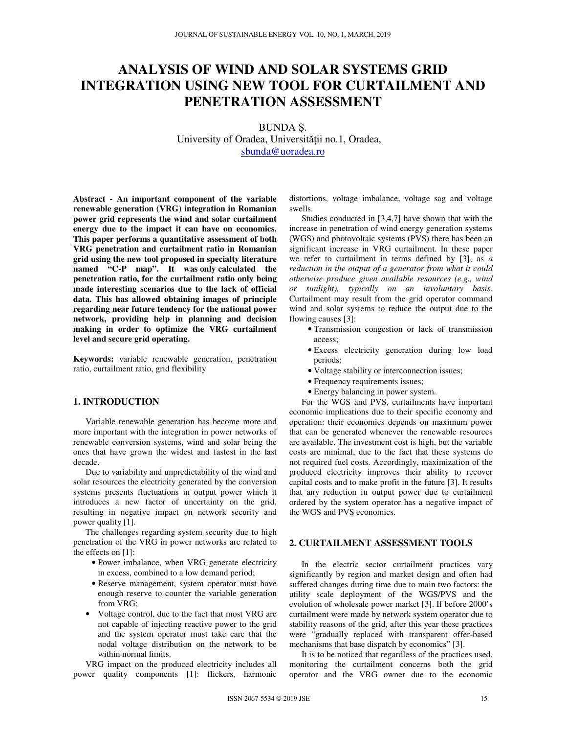# **ANALYSIS OF WIND AND SOLAR SYSTEMS GRID INTEGRATION USING NEW TOOL FOR CURTAILMENT AND PENETRATION ASSESSMENT**

BUNDA Ș. University of Oradea, Universității no.1, Oradea, sbunda@uoradea.ro

**Abstract - An important component of the variable renewable generation (VRG) integration in Romanian power grid represents the wind and solar curtailment energy due to the impact it can have on economics. This paper performs a quantitative assessment of both VRG penetration and curtailment ratio in Romanian grid using the new tool proposed in specialty literature named "C-P map". It was only calculated the penetration ratio, for the curtailment ratio only being made interesting scenarios due to the lack of official data. This has allowed obtaining images of principle regarding near future tendency for the national power network, providing help in planning and decision making in order to optimize the VRG curtailment level and secure grid operating.**

**Keywords:** variable renewable generation, penetration ratio, curtailment ratio, grid flexibility

## **1. INTRODUCTION**

Variable renewable generation has become more and more important with the integration in power networks of renewable conversion systems, wind and solar being the ones that have grown the widest and fastest in the last decade.

Due to variability and unpredictability of the wind and solar resources the electricity generated by the conversion systems presents fluctuations in output power which it introduces a new factor of uncertainty on the grid, resulting in negative impact on network security and power quality [1].

The challenges regarding system security due to high penetration of the VRG in power networks are related to the effects on [1]:

- Power imbalance, when VRG generate electricity in excess, combined to a low demand period;
- Reserve management, system operator must have enough reserve to counter the variable generation from VRG;
- Voltage control, due to the fact that most VRG are not capable of injecting reactive power to the grid and the system operator must take care that the nodal voltage distribution on the network to be within normal limits.

VRG impact on the produced electricity includes all power quality components [1]: flickers, harmonic distortions, voltage imbalance, voltage sag and voltage swells.

Studies conducted in [3,4,7] have shown that with the increase in penetration of wind energy generation systems (WGS) and photovoltaic systems (PVS) there has been an significant increase in VRG curtailment. In these paper we refer to curtailment in terms defined by [3], as *a reduction in the output of a generator from what it could otherwise produce given available resources (e.g., wind or sunlight), typically on an involuntary basis*. Curtailment may result from the grid operator command wind and solar systems to reduce the output due to the flowing causes [3]:

- Transmission congestion or lack of transmission access;
- Excess electricity generation during low load periods;
- Voltage stability or interconnection issues;
- Frequency requirements issues;
- Energy balancing in power system.

For the WGS and PVS, curtailments have important economic implications due to their specific economy and operation: their economics depends on maximum power that can be generated whenever the renewable resources are available. The investment cost is high, but the variable costs are minimal, due to the fact that these systems do not required fuel costs. Accordingly, maximization of the produced electricity improves their ability to recover capital costs and to make profit in the future [3]. It results that any reduction in output power due to curtailment ordered by the system operator has a negative impact of the WGS and PVS economics.

## **2. CURTAILMENT ASSESSMENT TOOLS**

In the electric sector curtailment practices vary significantly by region and market design and often had suffered changes during time due to main two factors: the utility scale deployment of the WGS/PVS and the evolution of wholesale power market [3]. If before 2000's curtailment were made by network system operator due to stability reasons of the grid, after this year these practices were "gradually replaced with transparent offer-based mechanisms that base dispatch by economics" [3].

It is to be noticed that regardless of the practices used, monitoring the curtailment concerns both the grid operator and the VRG owner due to the economic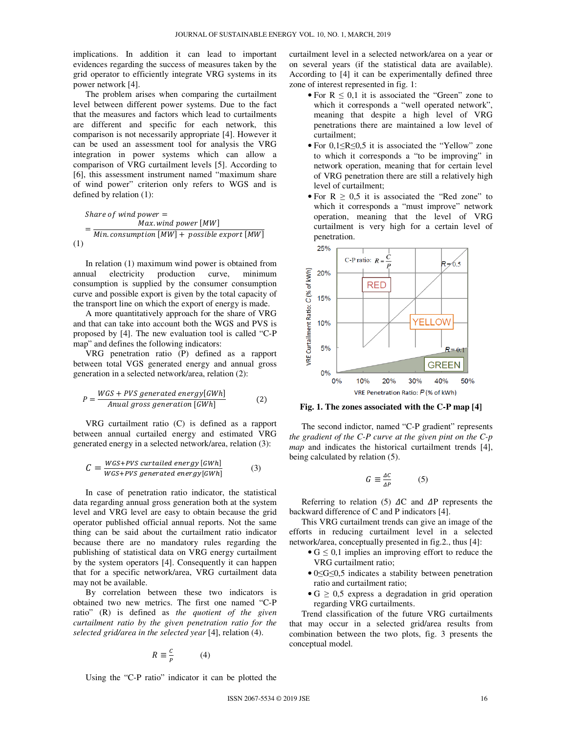implications. In addition it can lead to important evidences regarding the success of measures taken by the grid operator to efficiently integrate VRG systems in its power network [4].

The problem arises when comparing the curtailment level between different power systems. Due to the fact that the measures and factors which lead to curtailments are different and specific for each network, this comparison is not necessarily appropriate [4]. However it can be used an assessment tool for analysis the VRG integration in power systems which can allow a comparison of VRG curtailment levels [5]. According to [6], this assessment instrument named "maximum share of wind power" criterion only refers to WGS and is defined by relation (1):

Share of wind power =

\n
$$
= \frac{Max. wind power [MW]}{Min. consumption [MW] + possible export [MW]}
$$
\n(1)

In relation (1) maximum wind power is obtained from annual electricity production curve, minimum consumption is supplied by the consumer consumption curve and possible export is given by the total capacity of the transport line on which the export of energy is made.

A more quantitatively approach for the share of VRG and that can take into account both the WGS and PVS is proposed by [4]. The new evaluation tool is called "C-P map" and defines the following indicators:

VRG penetration ratio (P) defined as a rapport between total VGS generated energy and annual gross generation in a selected network/area, relation (2):

$$
P = \frac{WGS + PVS \ generated \ energy[GWh]}{\text{Anual gross generation } [GWh]}
$$
 (2)

VRG curtailment ratio (C) is defined as a rapport between annual curtailed energy and estimated VRG generated energy in a selected network/area, relation (3):

$$
C = \frac{WGS + PVS \, curtailed \, energy [GWh]}{WGS + PVS \, generated \, energy [GWh]} \tag{3}
$$

In case of penetration ratio indicator, the statistical data regarding annual gross generation both at the system level and VRG level are easy to obtain because the grid operator published official annual reports. Not the same thing can be said about the curtailment ratio indicator because there are no mandatory rules regarding the publishing of statistical data on VRG energy curtailment by the system operators [4]. Consequently it can happen that for a specific network/area, VRG curtailment data may not be available.

By correlation between these two indicators is obtained two new metrics. The first one named "C-P ratio" (R) is defined as *the quotient of the given curtailment ratio by the given penetration ratio for the selected grid/area in the selected year* [4], relation (4).

$$
R \equiv \frac{c}{P} \tag{4}
$$

Using the "C-P ratio" indicator it can be plotted the

curtailment level in a selected network/area on a year or on several years (if the statistical data are available). According to [4] it can be experimentally defined three zone of interest represented in fig. 1:

- For  $R \leq 0,1$  it is associated the "Green" zone to which it corresponds a "well operated network", meaning that despite a high level of VRG penetrations there are maintained a low level of curtailment;
- For 0,1≤R≤0,5 it is associated the "Yellow" zone to which it corresponds a "to be improving" in network operation, meaning that for certain level of VRG penetration there are still a relatively high level of curtailment;
- For  $R \geq 0.5$  it is associated the "Red zone" to which it corresponds a "must improve" network operation, meaning that the level of VRG curtailment is very high for a certain level of penetration.



**Fig. 1. The zones associated with the C-P map [4]** 

The second indictor, named "C-P gradient" represents *the gradient of the C-P curve at the given pint on the C-p map* and indicates the historical curtailment trends [4], being calculated by relation (5).

$$
G \equiv \frac{\Delta C}{\Delta P} \tag{5}
$$

Referring to relation (5)  $\Delta C$  and  $\Delta P$  represents the backward difference of C and P indicators [4].

This VRG curtailment trends can give an image of the efforts in reducing curtailment level in a selected network/area, conceptually presented in fig.2., thus [4]:

- $G \leq 0,1$  implies an improving effort to reduce the VRG curtailment ratio;
- 0≤G≤0,5 indicates a stability between penetration ratio and curtailment ratio;
- $\bullet$  G  $\geq$  0,5 express a degradation in grid operation regarding VRG curtailments.

Trend classification of the future VRG curtailments that may occur in a selected grid/area results from combination between the two plots, fig. 3 presents the conceptual model.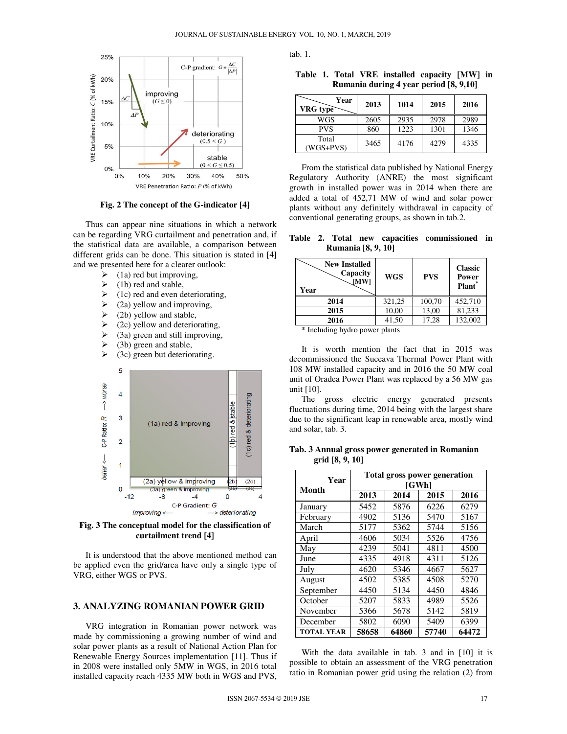

**Fig. 2 The concept of the G-indicator [4]** 

Thus can appear nine situations in which a network can be regarding VRG curtailment and penetration and, if the statistical data are available, a comparison between different grids can be done. This situation is stated in [4] and we presented here for a clearer outlook:

- $\geq$  (1a) red but improving,<br> $\geq$  (1b) red and stable.
- (1b) red and stable,
- $\geq$  (1c) red and even deteriorating,<br> $\geq$  (2a) yellow and improving,
- (2a) yellow and improving,
- $\geq$  (2b) yellow and stable,<br> $\geq$  (2c) vellow and deterio
- (2c) yellow and deteriorating,
- $\geq$  (3a) green and still improving,
- $\geq$  (3b) green and stable,
- $\geq$  (3c) green but deteriorating.



**Fig. 3 The conceptual model for the classification of curtailment trend [4]** 

It is understood that the above mentioned method can be applied even the grid/area have only a single type of VRG, either WGS or PVS.

### **3. ANALYZING ROMANIAN POWER GRID**

VRG integration in Romanian power network was made by commissioning a growing number of wind and solar power plants as a result of National Action Plan for Renewable Energy Sources implementation [11]. Thus if in 2008 were installed only 5MW in WGS, in 2016 total installed capacity reach 4335 MW both in WGS and PVS,

tab. 1.

|  |  | Table 1. Total VRE installed capacity [MW] in |  |  |
|--|--|-----------------------------------------------|--|--|
|  |  | Rumania during 4 year period [8, 9,10]        |  |  |

| Year<br>VRG type     | 2013 | 1014 | 2015 | 2016 |
|----------------------|------|------|------|------|
| WGS                  | 2605 | 2935 | 2978 | 2989 |
| <b>PVS</b>           | 860  | 1223 | 1301 | 1346 |
| Total<br>$(WGS+PVS)$ | 3465 | 4176 | 4279 | 4335 |

From the statistical data published by National Energy Regulatory Authority (ANRE) the most significant growth in installed power was in 2014 when there are added a total of 452,71 MW of wind and solar power plants without any definitely withdrawal in capacity of conventional generating groups, as shown in tab.2.

**Table 2. Total new capacities commissioned in Rumania [8, 9, 10]** 

| <b>New Installed</b><br>Capacity<br>[MW]<br>Year | <b>WGS</b> | <b>PVS</b> | <b>Classic</b><br><b>Power</b><br>Plant <sup>*</sup> |  |  |
|--------------------------------------------------|------------|------------|------------------------------------------------------|--|--|
| 2014                                             | 321,25     | 100,70     | 452,710                                              |  |  |
| 2015                                             | 10,00      | 13,00      | 81,233                                               |  |  |
| 2016                                             | 41,50      | 17,28      | 132,002                                              |  |  |
|                                                  |            |            |                                                      |  |  |

**\*** Including hydro power plants

It is worth mention the fact that in 2015 was decommissioned the Suceava Thermal Power Plant with 108 MW installed capacity and in 2016 the 50 MW coal unit of Oradea Power Plant was replaced by a 56 MW gas unit [10].

The gross electric energy generated presents fluctuations during time, 2014 being with the largest share due to the significant leap in renewable area, mostly wind and solar, tab. 3.

**Tab. 3 Annual gross power generated in Romanian grid [8, 9, 10]**

| Year<br>Month     | Total gross power generation<br>[GWh] |       |       |       |  |
|-------------------|---------------------------------------|-------|-------|-------|--|
|                   | 2013                                  | 2014  | 2015  | 2016  |  |
| January           | 5452                                  | 5876  | 6226  | 6279  |  |
| February          | 4902                                  | 5136  | 5470  | 5167  |  |
| March             | 5177                                  | 5362  | 5744  | 5156  |  |
| April             | 4606                                  | 5034  | 5526  | 4756  |  |
| May               | 4239                                  | 5041  | 4811  | 4500  |  |
| June              | 4335                                  | 4918  | 4311  | 5126  |  |
| July              | 4620                                  | 5346  | 4667  | 5627  |  |
| August            | 4502                                  | 5385  | 4508  | 5270  |  |
| September         | 4450                                  | 5134  | 4450  | 4846  |  |
| October           | 5207                                  | 5833  | 4989  | 5526  |  |
| November          | 5366                                  | 5678  | 5142  | 5819  |  |
| December          | 5802                                  | 6090  | 5409  | 6399  |  |
| <b>TOTAL YEAR</b> | 58658                                 | 64860 | 57740 | 64472 |  |

With the data available in tab. 3 and in [10] it is possible to obtain an assessment of the VRG penetration ratio in Romanian power grid using the relation (2) from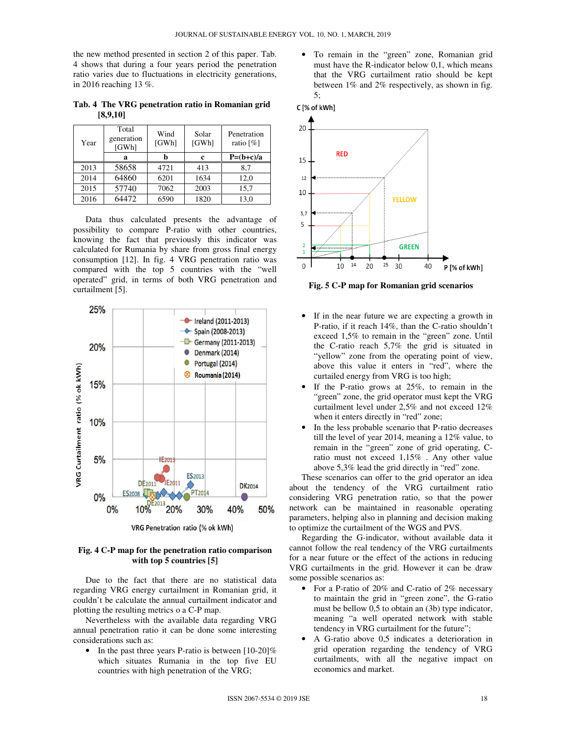the new method presented in section 2 of this paper. Tab. 4 shows that during a four years period the penetration ratio varies due to fluctuations in electricity generations, in 2016 reaching 13 %.

**Tab. 4 The VRG penetration ratio in Romanian grid [8,9,10]** 

| Year | Total<br>generation<br>[GWh] | Wind<br>[GWh] | Solar<br>[GWh] | Penetration<br>ratio [%] |
|------|------------------------------|---------------|----------------|--------------------------|
|      | a                            |               | c              | $P=(b+c)/a$              |
| 2013 | 58658                        | 4721          | 413            | 8,7                      |
| 2014 | 64860                        | 6201          | 1634           | 12,0                     |
| 2015 | 57740                        | 7062          | 2003           | 15,7                     |
| 2016 | 64472                        | 6590          | 1820           | 13,0                     |

Data thus calculated presents the advantage of possibility to compare P-ratio with other countries, knowing the fact that previously this indicator was calculated for Rumania by share from gross final energy consumption [12]. In fig. 4 VRG penetration ratio was compared with the top 5 countries with the "well operated" grid, in terms of both VRG penetration and curtailment [5].



**Fig. 4 C-P map for the penetration ratio comparison with top 5 countries [5]** 

Due to the fact that there are no statistical data regarding VRG energy curtailment in Romanian grid, it couldn't be calculate the annual curtailment indicator and plotting the resulting metrics o a C-P map.

Nevertheless with the available data regarding VRG annual penetration ratio it can be done some interesting considerations such as:

• In the past three years P-ratio is between [10-20]% which situates Rumania in the top five EU countries with high penetration of the VRG;

• To remain in the "green" zone, Romanian grid must have the R-indicator below 0,1, which means that the VRG curtailment ratio should be kept between 1% and 2% respectively, as shown in fig. 5;





**Fig. 5 C-P map for Romanian grid scenarios** 

- If in the near future we are expecting a growth in P-ratio, if it reach 14%, than the C-ratio shouldn't exceed 1,5% to remain in the "green" zone. Until the C-ratio reach 5,7% the grid is situated in "yellow" zone from the operating point of view, above this value it enters in "red", where the curtailed energy from VRG is too high;
- If the P-ratio grows at  $25\%$ , to remain in the "green" zone, the grid operator must kept the VRG curtailment level under 2,5% and not exceed 12% when it enters directly in "red" zone;
- In the less probable scenario that P-ratio decreases till the level of year 2014, meaning a 12% value, to remain in the "green" zone of grid operating, Cratio must not exceed 1,15% . Any other value above 5,3% lead the grid directly in "red" zone.

These scenarios can offer to the grid operator an idea about the tendency of the VRG curtailment ratio considering VRG penetration ratio, so that the power network can be maintained in reasonable operating parameters, helping also in planning and decision making to optimize the curtailment of the WGS and PVS.

Regarding the G-indicator, without available data it cannot follow the real tendency of the VRG curtailments for a near future or the effect of the actions in reducing VRG curtailments in the grid. However it can be draw some possible scenarios as:

- For a P-ratio of 20% and C-ratio of 2% necessary to maintain the grid in "green zone", the G-ratio must be bellow 0,5 to obtain an (3b) type indicator, meaning "a well operated network with stable tendency in VRG curtailment for the future";
- A G-ratio above 0,5 indicates a deterioration in grid operation regarding the tendency of VRG curtailments, with all the negative impact on economics and market.